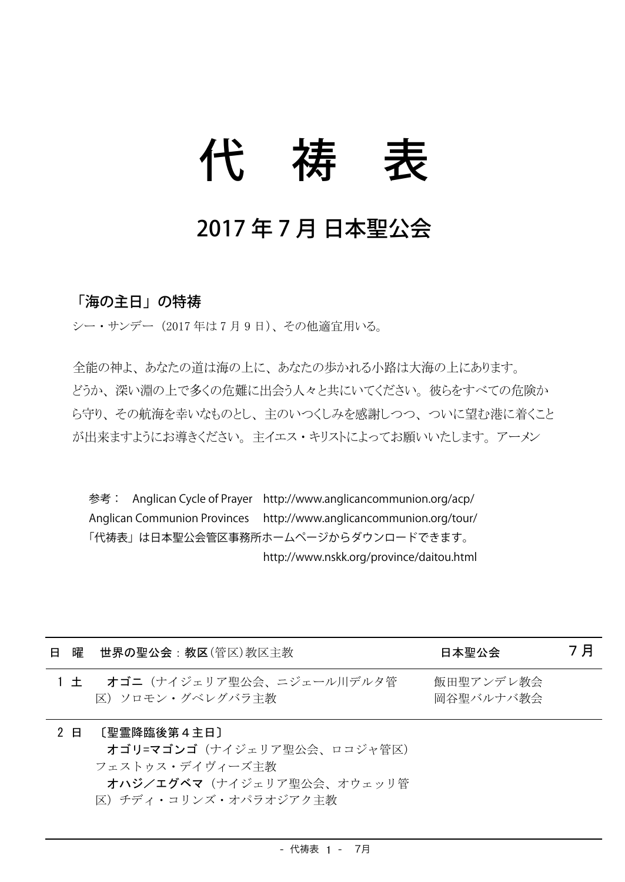## 代 祷

## 2017年7月日本聖公会

## 「海の主日」の特祷

シー・サンデー (2017年は7月9日)、その他適宜用いる。

全能の神よ、あなたの道は海の上に、あなたの歩かれる小路は大海の上にあります。 どうか、深い淵の上で多くの危難に出会う人々と共にいてください。彼らをすべての危険か ら守り、その航海を幸いなものとし、主のいつくしみを感謝しつつ、ついに望む港に着くこと が出来ますようにお導きください。主イエス・キリストによってお願いいたします。アーメン

参考: Anglican Cycle of Prayer http://www.anglicancommunion.org/acp/ Anglican Communion Provinces http://www.anglicancommunion.org/tour/ 「代祷表」は日本聖公会管区事務所ホームページからダウンロードできます。 http://www.nskk.org/province/daitou.html

| 8 |       | 曜   世界の聖公会:教区(管区)教区主教                                                                     | 日本聖公会                  | 7月 |
|---|-------|-------------------------------------------------------------------------------------------|------------------------|----|
|   | $1 +$ | <b>オゴニ</b> (ナイジェリア聖公会、ニジェール川デルタ管<br>区) ソロモン・グベレグバラ主教                                      | 飯田聖アンデレ教会<br>岡谷聖バルナバ教会 |    |
|   | 2 E   | 〔聖霊降臨後第4キ日〕<br>オゴリニマゴンゴ(ナイジェリア聖公会、ロコジャ管区)<br>フェストゥス・デイヴィーズ主教<br>オハジノエグベマ(ナイジェリア聖公会、オウェッリ管 |                        |    |

区) チディ・コリンズ・オパラオジアク主教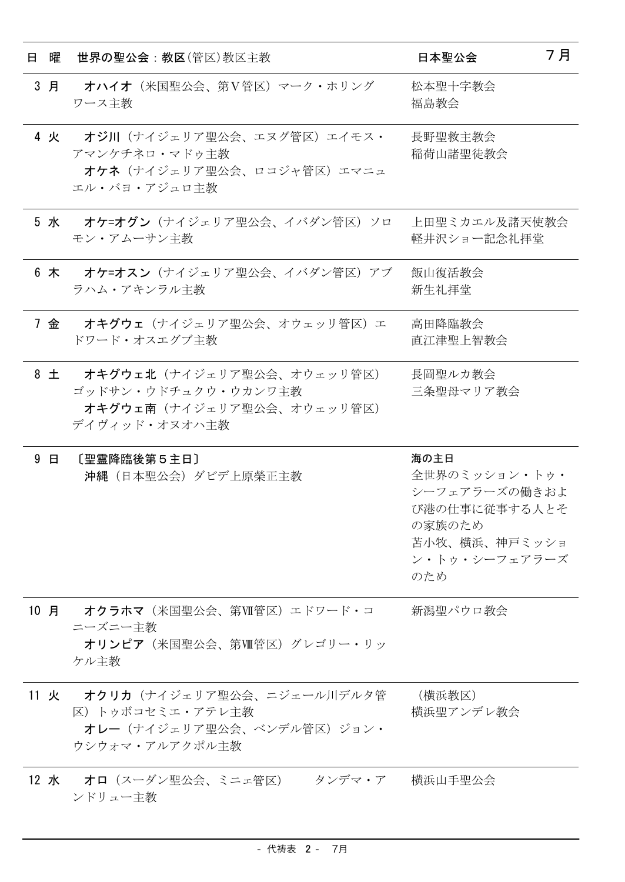| Η. |           | 曜 世界の聖公会:教区(管区)教区主教                                                                                 | 日本聖公会                                                                                                      | 7月 |
|----|-----------|-----------------------------------------------------------------------------------------------------|------------------------------------------------------------------------------------------------------------|----|
|    | 3 月       | オハイオ (米国聖公会、第V管区) マーク・ホリング<br>ワース主教                                                                 | 松本聖十字教会<br>福島教会                                                                                            |    |
|    | 4 火       | オジ川(ナイジェリア聖公会、エヌグ管区)エイモス・<br>アマンケチネロ・マドゥ主教<br>オケネ(ナイジェリア聖公会、ロコジャ管区)エマニュ<br>エル・バヨ・アジュロ主教             | 長野聖救主教会<br>稲荷山諸聖徒教会                                                                                        |    |
|    |           | 5 水 オケ=オグン (ナイジェリア聖公会、イバダン管区) ソロ<br>モン・アムーサン主教                                                      | 上田聖ミカエル及諸天使教会<br>軽井沢ショー記念礼拝堂                                                                               |    |
|    | 6 木       | オケ=オスン(ナイジェリア聖公会、イバダン管区)アブ<br>ラハム・アキンラル主教                                                           | 飯山復活教会<br>新生礼拝堂                                                                                            |    |
|    |           | 7 金 - オキグウェ(ナイジェリア聖公会、オウェッリ管区)エー<br>ドワード・オスエグブ主教                                                    | 高田降臨教会<br>直江津聖上智教会                                                                                         |    |
|    | $8$ $\pm$ | オキグウェ北(ナイジェリア聖公会、オウェッリ管区)<br>ゴッドサン・ウドチュクウ・ウカンワ主教<br>オキグウェ南(ナイジェリア聖公会、オウェッリ管区)<br>デイヴィッド・オヌオハ主教      | 長岡聖ルカ教会<br>三条聖母マリア教会                                                                                       |    |
|    | 9 日       | [聖霊降臨後第5主日]<br>沖縄(日本聖公会)ダビデ上原榮正主教                                                                   | 海の主日<br>全世界のミッション・トゥ・<br>シーフェアラーズの働きおよ<br>び港の仕事に従事する人とそ<br>の家族のため<br>苫小牧、横浜、神戸ミッショ<br>ン・トゥ・シーフェアラーズ<br>のため |    |
|    |           | 10 月--オクラホマ(米国聖公会、第Ⅶ管区)エドワード・コ<br>ニーズニー主教<br>オリンピア(米国聖公会、第四管区)グレゴリー・リッ<br>ケル主教                      | 新潟聖パウロ教会                                                                                                   |    |
|    |           | 11 火 オクリカ (ナイジェリア聖公会、ニジェール川デルタ管<br>区)トゥボコセミエ・アテレ主教<br>オレー (ナイジェリア聖公会、ベンデル管区) ジョン・<br>ウシウォマ・アルアクポル主教 | (横浜教区)<br>横浜聖アンデレ教会                                                                                        |    |
|    |           | 12 水  オロ(スーダン聖公会、ミニェ管区) タンデマ・ア 横浜山手聖公会<br>ンドリュー主教                                                   |                                                                                                            |    |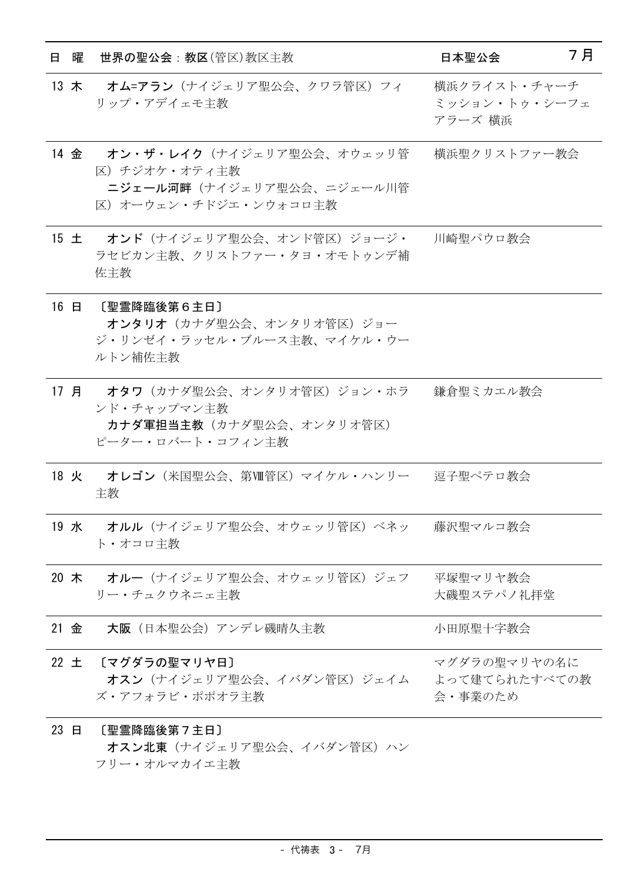| 曜<br>8. | 世界の聖公会 : 教区(管区)教区主教                                                                                   | 7月<br>日本聖公会                              |
|---------|-------------------------------------------------------------------------------------------------------|------------------------------------------|
|         | 13 木 オム=アラン (ナイジェリア聖公会、クワラ管区) フィ<br>リップ・アデイェモ主教                                                       | 横浜クライスト・チャーチ<br>ミッション・トゥ・シーフェ<br>アラーズ 横浜 |
|         | 14 金 オン・ザ・レイク (ナイジェリア聖公会、オウェッリ管<br>区) チジオケ・オティ主教<br>ニジェール河畔(ナイジェリア聖公会、ニジェール川管<br>区)オーウェン・チドジエ・ンウォコロ主教 | 横浜聖クリストファー教会                             |
|         | 15 土 オンド (ナイジェリア聖公会、オンド管区) ジョージ・<br>ラセビカン主教、クリストファー・タヨ・オモトゥンデ補<br>佐主教                                 | 川崎聖パウロ教会                                 |
|         | 16 日 〔聖霊降臨後第6主日〕<br>オンタリオ(カナダ聖公会、オンタリオ管区)ジョー<br>ジ・リンゼイ・ラッセル・ブルース主教、マイケル・ウー<br>ルトン補佐主教                 |                                          |
|         | 17 月 - オタワ(カナダ聖公会、オンタリオ管区)ジョン・ホラ<br>ンド・チャップマン主教<br>カナダ軍担当主教(カナダ聖公会、オンタリオ管区)<br>ピーター・ロバート・コフィン主教       | 鎌倉聖ミカエル教会                                |
|         | 18 火 オレゴン(米国聖公会、第Ⅷ管区)マイケル・ハンリー 逗子聖ペテロ教会<br>主教                                                         |                                          |
|         | 19 水 オルル (ナイジェリア聖公会、オウェッリ管区) ベネッ<br>ト・オコロ主教                                                           | 藤沢聖マルコ教会                                 |
| 20 木    | オルー (ナイジェリア聖公会、オウェッリ管区) ジェフ<br>リー・チュクウネニェ主教                                                           | 平塚聖マリヤ教会<br>大磯聖ステパノ礼拝堂                   |
| 21 金    | 大阪(日本聖公会)アンデレ磯晴久主教                                                                                    | 小田原聖十字教会                                 |
|         | 22 土 〔マグダラの聖マリヤ日〕<br>オスン(ナイジェリア聖公会、イバダン管区)ジェイム<br>ズ・アフォラビ・ポポオラ主教                                      | マグダラの聖マリヤの名に<br>よって建てられたすべての教<br>会・事業のため |
| 23 日    | 〔聖霊降臨後第7主日〕<br>オスン北東(ナイジェリア聖公会、イバダン管区)ハン                                                              |                                          |

フリー・オルマカイエ主教

- 代祷表 3- 7月